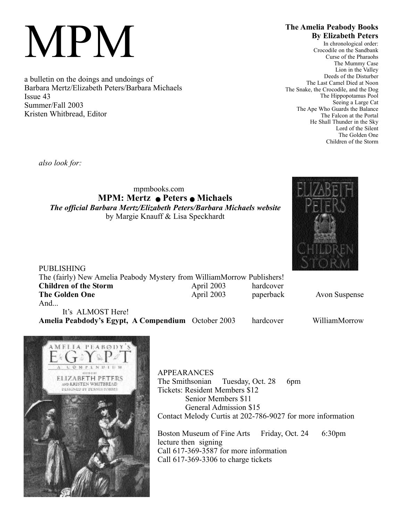# MPM

a bulletin on the doings and undoings of Barbara Mertz/Elizabeth Peters/Barbara Michaels Issue 43 Summer/Fall 2003 Kristen Whitbread, Editor

# **The Amelia Peabody Books By Elizabeth Peters**

In chronological order: Crocodile on the Sandbank Curse of the Pharaohs The Mummy Case Lion in the Valley Deeds of the Disturber The Last Camel Died at Noon The Snake, the Crocodile, and the Dog The Hippopotamus Pool Seeing a Large Cat The Ape Who Guards the Balance The Falcon at the Portal He Shall Thunder in the Sky Lord of the Silent The Golden One Children of the Storm

*also look for:*

mpmbooks.com **MPM: Mertz** Q **Peters** Q **Michaels** *The official Barbara Mertz/Elizabeth Peters/Barbara Michaels website* by Margie Knauff & Lisa Speckhardt



PUBLISHING The (fairly) New Amelia Peabody Mystery from WilliamMorrow Publishers! **Children of the Storm** April 2003 hardcover **The Golden One April 2003 paperback** Avon Suspense And... It's ALMOST Here!

**Amelia Peabdody's Egypt, A Compendium** October 2003 hardcover WilliamMorrow



APPEARANCES The Smithsonian Tuesday, Oct. 28 6pm Tickets: Resident Members \$12 Senior Members \$11 General Admission \$15 Contact Melody Curtis at 202-786-9027 for more information Boston Museum of Fine Arts Friday, Oct. 24 6:30pm lecture then signing Call 617-369-3587 for more information Call 617-369-3306 to charge tickets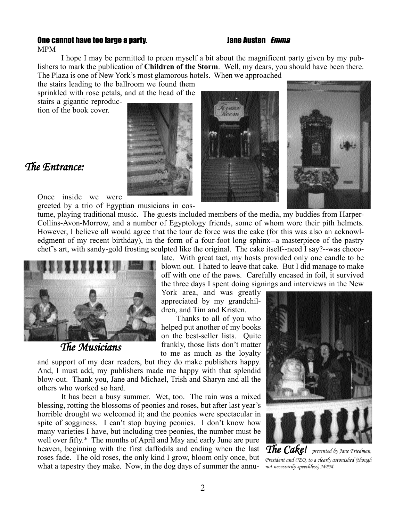## One cannot have too large a party. The summan base of the cannot have too large a party.

I hope I may be permitted to preen myself a bit about the magnificent party given by my publishers to mark the publication of **Children of the Storm**. Well, my dears, you should have been there.

The Plaza is one of New York's most glamorous hotels. When we approached the stairs leading to the ballroom we found them

sprinkled with rose petals, and at the head of the stairs a gigantic reproduction of the book cover.







# *The Entrance:*

MPM

Once inside we were

greeted by a trio of Egyptian musicians in cos-

tume, playing traditional music. The guests included members of the media, my buddies from Harper-Collins-Avon-Morrow, and a number of Egyptology friends, some of whom wore their pith helmets. However, I believe all would agree that the tour de force was the cake (for this was also an acknowledgment of my recent birthday), in the form of a four-foot long sphinx--a masterpiece of the pastry chef's art, with sandy-gold frosting sculpted like the original. The cake itself--need I say?--was choco-



*The Musicians*

late. With great tact, my hosts provided only one candle to be blown out. I hated to leave that cake. But I did manage to make off with one of the paws. Carefully encased in foil, it survived the three days I spent doing signings and interviews in the New

York area, and was greatly appreciated by my grandchildren, and Tim and Kristen.

Thanks to all of you who helped put another of my books on the best-seller lists. Quite frankly, those lists don't matter to me as much as the loyalty

and support of my dear readers, but they do make publishers happy. And, I must add, my publishers made me happy with that splendid blow-out. Thank you, Jane and Michael, Trish and Sharyn and all the others who worked so hard.

It has been a busy summer. Wet, too. The rain was a mixed blessing, rotting the blossoms of peonies and roses, but after last year's horrible drought we welcomed it; and the peonies were spectacular in spite of sogginess. I can't stop buying peonies. I don't know how many varieties I have, but including tree peonies, the number must be well over fifty.\* The months of April and May and early June are pure heaven, beginning with the first daffodils and ending when the last roses fade. The old roses, the only kind I grow, bloom only once, but what a tapestry they make. Now, in the dog days of summer the annu-*not necessarily speechless) MPM.*



*The Cake! presented by Jane Friedman, President and CEO, to a clearly astonished (though*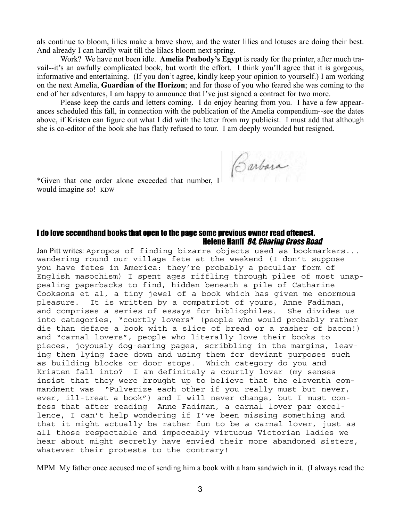als continue to bloom, lilies make a brave show, and the water lilies and lotuses are doing their best. And already I can hardly wait till the lilacs bloom next spring.

Work? We have not been idle. **Amelia Peabody's Egypt** is ready for the printer, after much travail--it's an awfully complicated book, but worth the effort. I think you'll agree that it is gorgeous, informative and entertaining. (If you don't agree, kindly keep your opinion to yourself.) I am working on the next Amelia, **Guardian of the Horizon**; and for those of you who feared she was coming to the end of her adventures, I am happy to announce that I've just signed a contract for two more.

Please keep the cards and letters coming. I do enjoy hearing from you. I have a few appearances scheduled this fall, in connection with the publication of the Amelia compendium--see the dates above, if Kristen can figure out what I did with the letter from my publicist. I must add that although she is co-editor of the book she has flatly refused to tour. I am deeply wounded but resigned.

\*Given that one order alone exceeded that number,  $\int \int \partial x \nu \nu dx$ 

would imagine so! KDW

### I do love secondhand books that open to the page some previous owner read oftenest. Helene Hanff 84, Charing Cross Road

Jan Pitt writes: Apropos of finding bizarre objects used as bookmarkers... wandering round our village fete at the weekend (I don't suppose you have fetes in America: they're probably a peculiar form of English masochism) I spent ages riffling through piles of most unappealing paperbacks to find, hidden beneath a pile of Catharine Cooksons et al, a tiny jewel of a book which has given me enormous pleasure. It is written by a compatriot of yours, Anne Fadiman, and comprises a series of essays for bibliophiles. She divides us into categories, "courtly lovers" (people who would probably rather die than deface a book with a slice of bread or a rasher of bacon!) and "carnal lovers", people who literally love their books to pieces, joyously dog-earing pages, scribbling in the margins, leaving them lying face down and using them for deviant purposes such as building blocks or door stops. Which category do you and Kristen fall into? I am definitely a courtly lover (my senses insist that they were brought up to believe that the eleventh commandment was "Pulverize each other if you really must but never, ever, ill-treat a book") and I will never change, but I must confess that after reading Anne Fadiman, a carnal lover par excellence, I can't help wondering if I've been missing something and that it might actually be rather fun to be a carnal lover, just as all those respectable and impeccably virtuous Victorian ladies we hear about might secretly have envied their more abandoned sisters, whatever their protests to the contrary!

MPM My father once accused me of sending him a book with a ham sandwich in it. (I always read the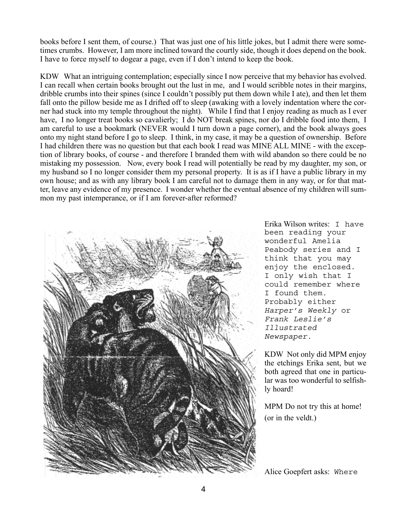books before I sent them, of course.) That was just one of his little jokes, but I admit there were sometimes crumbs. However, I am more inclined toward the courtly side, though it does depend on the book. I have to force myself to dogear a page, even if I don't intend to keep the book.

KDW What an intriguing contemplation; especially since I now perceive that my behavior has evolved. I can recall when certain books brought out the lust in me, and I would scribble notes in their margins, dribble crumbs into their spines (since I couldn't possibly put them down while I ate), and then let them fall onto the pillow beside me as I drifted off to sleep (awaking with a lovely indentation where the corner had stuck into my temple throughout the night). While I find that I enjoy reading as much as I ever have, I no longer treat books so cavalierly; I do NOT break spines, nor do I dribble food into them, I am careful to use a bookmark (NEVER would I turn down a page corner), and the book always goes onto my night stand before I go to sleep. I think, in my case, it may be a question of ownership. Before I had children there was no question but that each book I read was MINE ALL MINE - with the exception of library books, of course - and therefore I branded them with wild abandon so there could be no mistaking my possession. Now, every book I read will potentially be read by my daughter, my son, or my husband so I no longer consider them my personal property. It is as if I have a public library in my own house; and as with any library book I am careful not to damage them in any way, or for that matter, leave any evidence of my presence. I wonder whether the eventual absence of my children will summon my past intemperance, or if I am forever-after reformed?



Erika Wilson writes: I have been reading your wonderful Amelia Peabody series and I think that you may enjoy the enclosed. I only wish that I could remember where I found them. Probably either Harper's Weekly or Frank Leslie's Illustrated Newspaper.

KDW Not only did MPM enjoy the etchings Erika sent, but we both agreed that one in particular was too wonderful to selfishly hoard!

MPM Do not try this at home! (or in the veldt.)

Alice Goepfert asks: Where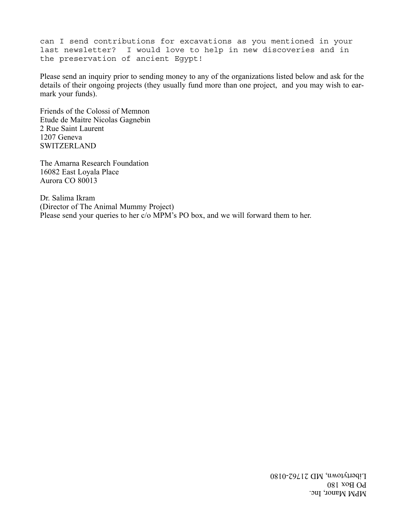can I send contributions for excavations as you mentioned in your last newsletter? I would love to help in new discoveries and in the preservation of ancient Egypt!

Please send an inquiry prior to sending money to any of the organizations listed below and ask for the details of their ongoing projects (they usually fund more than one project, and you may wish to earmark your funds).

Friends of the Colossi of Memnon Etude de Maitre Nicolas Gagnebin 2 Rue Saint Laurent 1207 Geneva SWITZERLAND

The Amarna Research Foundation 16082 East Loyala Place Aurora CO 80013

Dr. Salima Ikram (Director of The Animal Mummy Project) Please send your queries to her c/o MPM's PO box, and we will forward them to her.

> MPM Manor, Inc. PO Box 180 Libertytown, MD 21762-0180